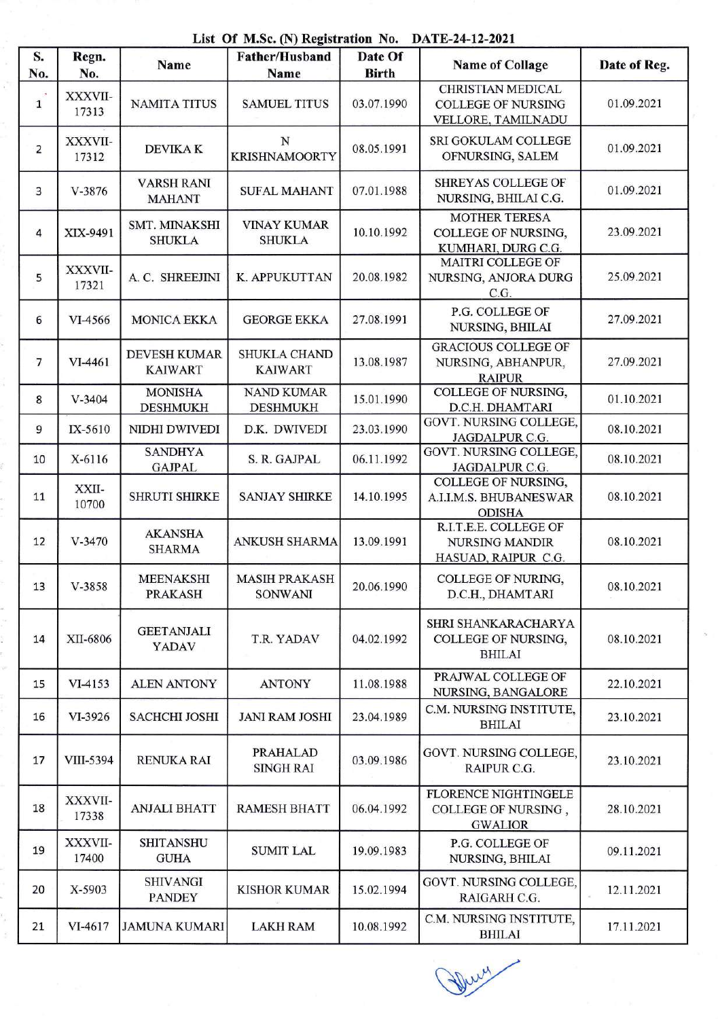List Of M.Sc. (N) Registration No. DATE-24-12-2021

| S.             | List Of M.St. (11) Registration 110.<br><b>DIID-AT-14-4041</b><br>Date Of<br><b>Father/Husband</b> |                                       |                                        |              |                                                                             |              |  |
|----------------|----------------------------------------------------------------------------------------------------|---------------------------------------|----------------------------------------|--------------|-----------------------------------------------------------------------------|--------------|--|
| No.            | Regn.<br>No.                                                                                       | Name                                  | Name                                   | <b>Birth</b> | <b>Name of Collage</b>                                                      | Date of Reg. |  |
| $\mathbf{1}$   | XXXVII-<br>17313                                                                                   | <b>NAMITA TITUS</b>                   | <b>SAMUEL TITUS</b>                    | 03.07.1990   | <b>CHRISTIAN MEDICAL</b><br><b>COLLEGE OF NURSING</b><br>VELLORE, TAMILNADU | 01.09.2021   |  |
| 2              | XXXVII-<br>17312                                                                                   | <b>DEVIKAK</b>                        | N<br><b>KRISHNAMOORTY</b>              | 08.05.1991   | SRI GOKULAM COLLEGE<br>OFNURSING, SALEM                                     | 01.09.2021   |  |
| 3              | $V - 3876$                                                                                         | <b>VARSH RANI</b><br><b>MAHANT</b>    | <b>SUFAL MAHANT</b>                    | 07.01.1988   | <b>SHREYAS COLLEGE OF</b><br>NURSING, BHILAI C.G.                           | 01.09.2021   |  |
| 4              | XIX-9491                                                                                           | <b>SMT. MINAKSHI</b><br><b>SHUKLA</b> | <b>VINAY KUMAR</b><br><b>SHUKLA</b>    | 10.10.1992   | <b>MOTHER TERESA</b><br>COLLEGE OF NURSING,<br>KUMHARI, DURG C.G.           | 23.09.2021   |  |
| 5              | XXXVII-<br>17321                                                                                   | A. C. SHREEJINI                       | K. APPUKUTTAN                          | 20.08.1982   | MAITRI COLLEGE OF<br>NURSING, ANJORA DURG<br>C.G.                           | 25.09.2021   |  |
| 6              | VI-4566                                                                                            | <b>MONICA EKKA</b>                    | <b>GEORGE EKKA</b>                     | 27.08.1991   | P.G. COLLEGE OF<br>NURSING, BHILAI                                          | 27.09.2021   |  |
| $\overline{7}$ | VI-4461                                                                                            | <b>DEVESH KUMAR</b><br><b>KAIWART</b> | SHUKLA CHAND<br><b>KAIWART</b>         | 13.08.1987   | <b>GRACIOUS COLLEGE OF</b><br>NURSING, ABHANPUR,<br><b>RAIPUR</b>           | 27.09.2021   |  |
| 8              | $V - 3404$                                                                                         | <b>MONISHA</b><br><b>DESHMUKH</b>     | <b>NAND KUMAR</b><br><b>DESHMUKH</b>   | 15.01.1990   | <b>COLLEGE OF NURSING,</b><br>D.C.H. DHAMTARI                               | 01.10.2021   |  |
| 9              | IX-5610                                                                                            | NIDHI DWIVEDI                         | D.K. DWIVEDI                           | 23.03.1990   | GOVT. NURSING COLLEGE,<br>JAGDALPUR C.G.                                    | 08.10.2021   |  |
| 10             | X-6116                                                                                             | <b>SANDHYA</b><br><b>GAJPAL</b>       | S. R. GAJPAL                           | 06.11.1992   | <b>GOVT. NURSING COLLEGE,</b><br>JAGDALPUR C.G.                             | 08.10.2021   |  |
| 11             | XXII-<br>10700                                                                                     | <b>SHRUTI SHIRKE</b>                  | <b>SANJAY SHIRKE</b>                   | 14.10.1995   | COLLEGE OF NURSING,<br>A.I.I.M.S. BHUBANESWAR<br><b>ODISHA</b>              | 08.10.2021   |  |
| 12             | $V - 3470$                                                                                         | <b>AKANSHA</b><br><b>SHARMA</b>       | ANKUSH SHARMA                          | 13.09.1991   | R.I.T.E.E. COLLEGE OF<br><b>NURSING MANDIR</b><br>HASUAD, RAIPUR C.G.       | 08.10.2021   |  |
| 13             | V-3858                                                                                             | <b>MEENAKSHI</b><br><b>PRAKASH</b>    | <b>MASIH PRAKASH</b><br><b>SONWANI</b> | 20.06.1990   | <b>COLLEGE OF NURING,</b><br>D.C.H., DHAMTARI                               | 08.10.2021   |  |
| 14             | XII-6806                                                                                           | <b>GEETANJALI</b><br>YADAV            | T.R. YADAV                             | 04.02.1992   | SHRI SHANKARACHARYA<br>COLLEGE OF NURSING,<br><b>BHILAI</b>                 | 08.10.2021   |  |
| 15             | VI-4153                                                                                            | <b>ALEN ANTONY</b>                    | <b>ANTONY</b>                          | 11.08.1988   | PRAJWAL COLLEGE OF<br>NURSING, BANGALORE                                    | 22.10.2021   |  |
| 16             | VI-3926                                                                                            | <b>SACHCHI JOSHI</b>                  | <b>JANI RAM JOSHI</b>                  | 23.04.1989   | C.M. NURSING INSTITUTE,<br><b>BHILAI</b>                                    | 23.10.2021   |  |
| 17             | VIII-5394                                                                                          | <b>RENUKA RAI</b>                     | <b>PRAHALAD</b><br><b>SINGH RAI</b>    | 03.09.1986   | GOVT. NURSING COLLEGE,<br>RAIPUR C.G.                                       | 23.10.2021   |  |
| 18             | XXXVII-<br>17338                                                                                   | <b>ANJALI BHATT</b>                   | <b>RAMESH BHATT</b>                    | 06.04.1992   | <b>FLORENCE NIGHTINGELE</b><br>COLLEGE OF NURSING,<br><b>GWALIOR</b>        | 28.10.2021   |  |
| 19             | XXXVII-<br>17400                                                                                   | <b>SHITANSHU</b><br><b>GUHA</b>       | <b>SUMIT LAL</b>                       | 19.09.1983   | P.G. COLLEGE OF<br>NURSING, BHILAI                                          | 09.11.2021   |  |
| 20             | X-5903                                                                                             | <b>SHIVANGI</b><br><b>PANDEY</b>      | <b>KISHOR KUMAR</b>                    | 15.02.1994   | GOVT. NURSING COLLEGE,<br>RAIGARH C.G.                                      | 12.11.2021   |  |
| 21             | VI-4617                                                                                            | <b>JAMUNA KUMARI</b>                  | <b>LAKH RAM</b>                        | 10.08.1992   | C.M. NURSING INSTITUTE,<br><b>BHILAI</b>                                    | 17.11.2021   |  |

Derry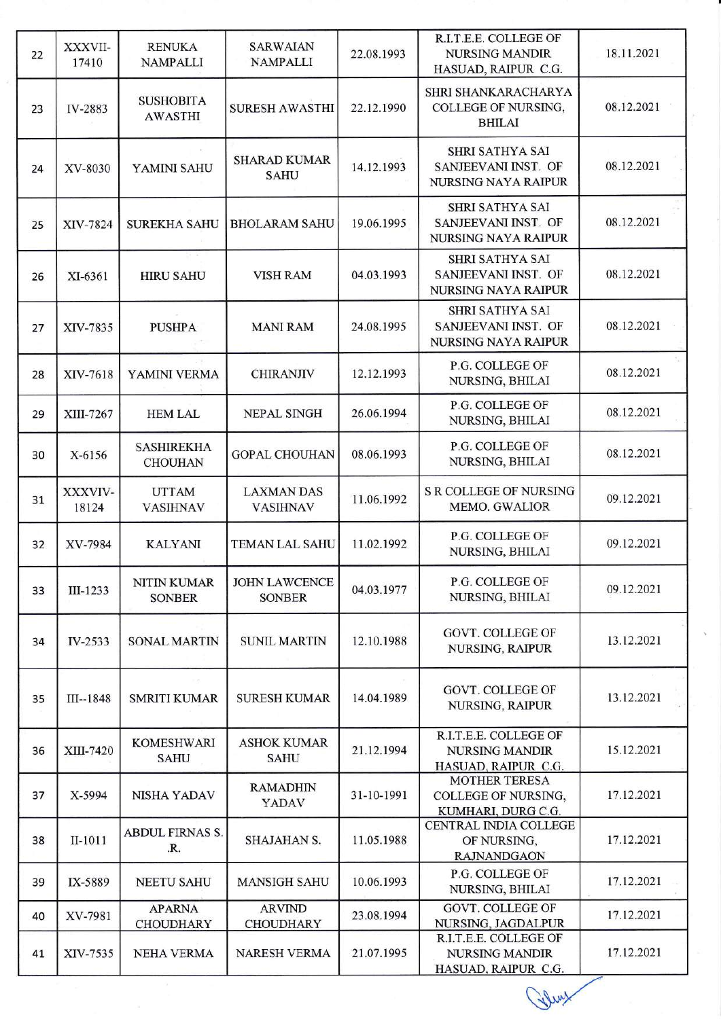| 22 | XXXVII-<br>17410 | <b>RENUKA</b><br><b>NAMPALLI</b>    | <b>SARWAIAN</b><br><b>NAMPALLI</b>    | 22.08.1993 | R.I.T.E.E. COLLEGE OF<br><b>NURSING MANDIR</b><br>HASUAD, RAIPUR C.G.       | 18.11.2021 |
|----|------------------|-------------------------------------|---------------------------------------|------------|-----------------------------------------------------------------------------|------------|
| 23 | IV-2883          | <b>SUSHOBITA</b><br><b>AWASTHI</b>  | <b>SURESH AWASTHI</b>                 | 22.12.1990 | SHRI SHANKARACHARYA<br>COLLEGE OF NURSING,<br><b>BHILAI</b>                 | 08.12.2021 |
| 24 | XV-8030          | YAMINI SAHU                         | <b>SHARAD KUMAR</b><br><b>SAHU</b>    | 14.12.1993 | <b>SHRI SATHYA SAI</b><br>SANJEEVANI INST. OF<br><b>NURSING NAYA RAIPUR</b> | 08.12.2021 |
| 25 | XIV-7824         | <b>SUREKHA SAHU</b>                 | <b>BHOLARAM SAHU</b>                  | 19.06.1995 | SHRI SATHYA SAI<br>SANJEEVANI INST. OF<br>NURSING NAYA RAIPUR               | 08.12.2021 |
| 26 | XI-6361          | <b>HIRU SAHU</b>                    | <b>VISH RAM</b>                       | 04.03.1993 | SHRI SATHYA SAI<br>SANJEEVANI INST. OF<br>NURSING NAYA RAIPUR               | 08.12.2021 |
| 27 | XIV-7835         | <b>PUSHPA</b>                       | <b>MANI RAM</b>                       | 24.08.1995 | <b>SHRI SATHYA SAI</b><br>SANJEEVANI INST. OF<br><b>NURSING NAYA RAIPUR</b> | 08.12.2021 |
| 28 | XIV-7618         | YAMINI VERMA                        | <b>CHIRANJIV</b>                      | 12.12.1993 | P.G. COLLEGE OF<br>NURSING, BHILAI                                          | 08.12.2021 |
| 29 | XIII-7267        | <b>HEM LAL</b>                      | NEPAL SINGH                           | 26.06.1994 | P.G. COLLEGE OF<br>NURSING, BHILAI                                          | 08.12.2021 |
| 30 | X-6156           | <b>SASHIREKHA</b><br><b>CHOUHAN</b> | <b>GOPAL CHOUHAN</b>                  | 08.06.1993 | P.G. COLLEGE OF<br>NURSING, BHILAI                                          | 08.12.2021 |
| 31 | XXXVIV-<br>18124 | <b>UTTAM</b><br><b>VASIHNAV</b>     | <b>LAXMAN DAS</b><br><b>VASIHNAV</b>  | 11.06.1992 | <b>S R COLLEGE OF NURSING</b><br><b>MEMO. GWALIOR</b>                       | 09.12.2021 |
| 32 | XV-7984          | <b>KALYANI</b>                      | <b>TEMAN LAL SAHU</b>                 | 11.02.1992 | P.G. COLLEGE OF<br><b>NURSING, BHILAI</b>                                   | 09.12.2021 |
| 33 | III-1233         | NITIN KUMAR<br><b>SONBER</b>        | <b>JOHN LAWCENCE</b><br><b>SONBER</b> | 04.03.1977 | P.G. COLLEGE OF<br>NURSING, BHILAI                                          | 09.12.2021 |
| 34 | IV-2533          | <b>SONAL MARTIN</b>                 | <b>SUNIL MARTIN</b>                   | 12.10.1988 | <b>GOVT. COLLEGE OF</b><br>NURSING, RAIPUR                                  | 13.12.2021 |
| 35 | $III - 1848$     | <b>SMRITI KUMAR</b>                 | <b>SURESH KUMAR</b>                   | 14.04.1989 | <b>GOVT. COLLEGE OF</b><br>NURSING, RAIPUR                                  | 13.12.2021 |
| 36 | XIII-7420        | <b>KOMESHWARI</b><br><b>SAHU</b>    | <b>ASHOK KUMAR</b><br><b>SAHU</b>     | 21.12.1994 | R.I.T.E.E. COLLEGE OF<br><b>NURSING MANDIR</b><br>HASUAD, RAIPUR C.G.       | 15.12.2021 |
| 37 | X-5994           | <b>NISHA YADAV</b>                  | <b>RAMADHIN</b><br>YADAV              | 31-10-1991 | <b>MOTHER TERESA</b><br>COLLEGE OF NURSING,<br>KUMHARI, DURG C.G.           | 17.12.2021 |
| 38 | II-1011          | ABDUL FIRNAS S.<br>.R.              | <b>SHAJAHAN S.</b>                    | 11.05.1988 | CENTRAL INDIA COLLEGE<br>OF NURSING,<br><b>RAJNANDGAON</b>                  | 17.12.2021 |
| 39 | IX-5889          | <b>NEETU SAHU</b>                   | <b>MANSIGH SAHU</b>                   | 10.06.1993 | P.G. COLLEGE OF<br>NURSING, BHILAI                                          | 17.12.2021 |
| 40 | XV-7981          | <b>APARNA</b><br><b>CHOUDHARY</b>   | <b>ARVIND</b><br><b>CHOUDHARY</b>     | 23.08.1994 | GOVT. COLLEGE OF<br>NURSING, JAGDALPUR                                      | 17.12.2021 |
| 41 | XIV-7535         | <b>NEHA VERMA</b>                   | <b>NARESH VERMA</b>                   | 21.07.1995 | R.I.T.E.E. COLLEGE OF<br><b>NURSING MANDIR</b><br>HASUAD, RAIPUR C.G.       | 17.12.2021 |

Gluy